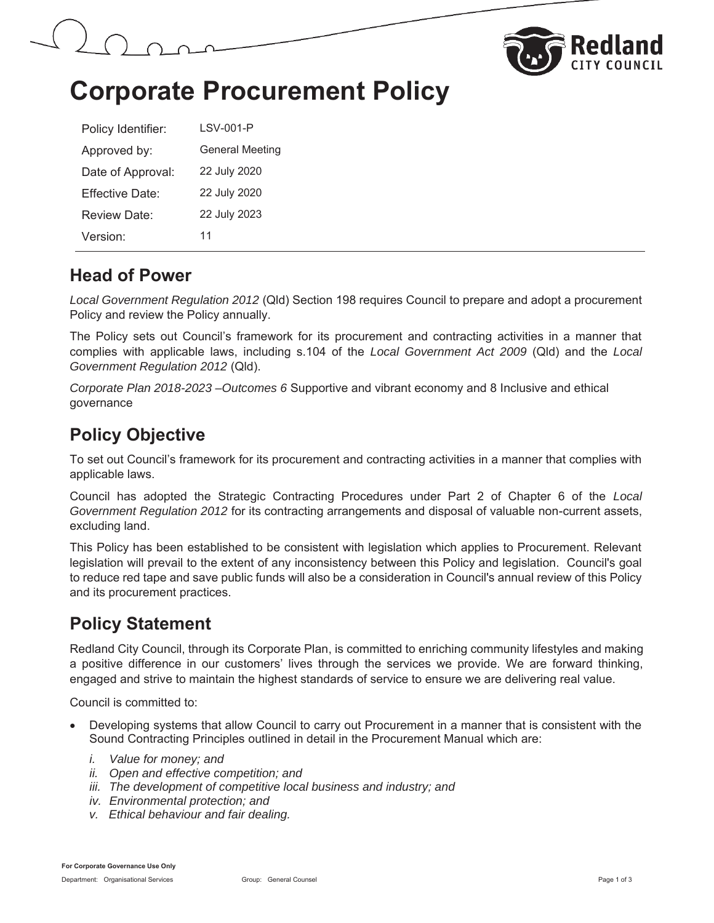



## **Corporate Procurement Policy**

| Policy Identifier: | LSV-001-P              |
|--------------------|------------------------|
| Approved by:       | <b>General Meeting</b> |
| Date of Approval:  | 22 July 2020           |
| Fffective Date:    | 22 July 2020           |
| Review Date:       | 22 July 2023           |
| Version:           | 11                     |

#### **Head of Power**

*Local Government Regulation 2012* (Qld) Section 198 requires Council to prepare and adopt a procurement Policy and review the Policy annually.

The Policy sets out Council's framework for its procurement and contracting activities in a manner that complies with applicable laws, including s.104 of the *Local Government Act 2009* (Qld) and the *Local Government Regulation 2012* (Qld).

*Corporate Plan 2018-2023 –Outcomes 6* Supportive and vibrant economy and 8 Inclusive and ethical governance

## **Policy Objective**

To set out Council's framework for its procurement and contracting activities in a manner that complies with applicable laws.

Council has adopted the Strategic Contracting Procedures under Part 2 of Chapter 6 of the *Local Government Regulation 2012* for its contracting arrangements and disposal of valuable non-current assets, excluding land.

This Policy has been established to be consistent with legislation which applies to Procurement. Relevant legislation will prevail to the extent of any inconsistency between this Policy and legislation. Council's goal to reduce red tape and save public funds will also be a consideration in Council's annual review of this Policy and its procurement practices.

## **Policy Statement**

Redland City Council, through its Corporate Plan, is committed to enriching community lifestyles and making a positive difference in our customers' lives through the services we provide. We are forward thinking, engaged and strive to maintain the highest standards of service to ensure we are delivering real value.

Council is committed to:

- Developing systems that allow Council to carry out Procurement in a manner that is consistent with the Sound Contracting Principles outlined in detail in the Procurement Manual which are:
	- *i. Value for money; and*
	- *ii. Open and effective competition; and*
	- iii. The development of competitive local business and industry; and
	- *iv. Environmental protection; and*
	- *v. Ethical behaviour and fair dealing.*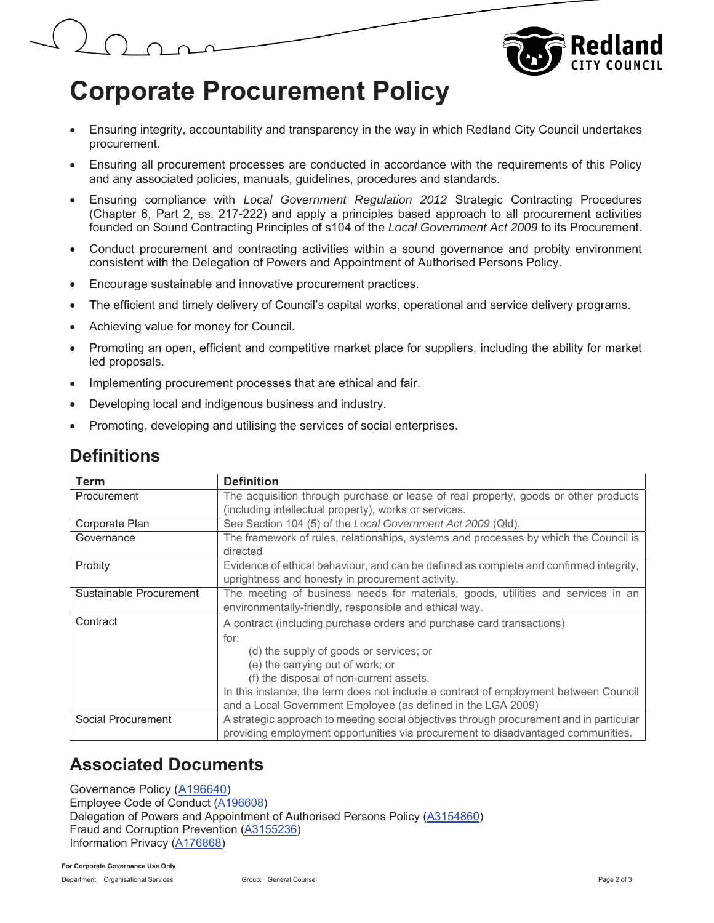

# **Corporate Procurement Policy**

- Ensuring integrity, accountability and transparency in the way in which Redland City Council undertakes procurement.
- Ensuring all procurement processes are conducted in accordance with the requirements of this Policy and any associated policies, manuals, guidelines, procedures and standards.
- Ensuring compliance with *Local Government Regulation 2012* Strategic Contracting Procedures (Chapter 6, Part 2, ss. 217-222) and apply a principles based approach to all procurement activities founded on Sound Contracting Principles of s104 of the *Local Government Act 2009* to its Procurement.
- Conduct procurement and contracting activities within a sound governance and probity environment consistent with the Delegation of Powers and Appointment of Authorised Persons Policy.
- Encourage sustainable and innovative procurement practices.
- The efficient and timely delivery of Council's capital works, operational and service delivery programs.
- Achieving value for money for Council.
- Promoting an open, efficient and competitive market place for suppliers, including the ability for market led proposals.
- Implementing procurement processes that are ethical and fair.
- Developing local and indigenous business and industry.
- Promoting, developing and utilising the services of social enterprises.

### **Definitions**

| <b>Term</b>             | <b>Definition</b>                                                                       |
|-------------------------|-----------------------------------------------------------------------------------------|
| Procurement             | The acquisition through purchase or lease of real property, goods or other products     |
|                         | (including intellectual property), works or services.                                   |
| Corporate Plan          | See Section 104 (5) of the Local Government Act 2009 (Qld).                             |
| Governance              | The framework of rules, relationships, systems and processes by which the Council is    |
|                         | directed                                                                                |
| Probity                 | Evidence of ethical behaviour, and can be defined as complete and confirmed integrity,  |
|                         | uprightness and honesty in procurement activity.                                        |
| Sustainable Procurement | The meeting of business needs for materials, goods, utilities and services in an        |
|                         | environmentally-friendly, responsible and ethical way.                                  |
| Contract                | A contract (including purchase orders and purchase card transactions)                   |
|                         | for:                                                                                    |
|                         | (d) the supply of goods or services; or                                                 |
|                         | (e) the carrying out of work; or                                                        |
|                         | (f) the disposal of non-current assets.                                                 |
|                         | In this instance, the term does not include a contract of employment between Council    |
|                         | and a Local Government Employee (as defined in the LGA 2009)                            |
| Social Procurement      | A strategic approach to meeting social objectives through procurement and in particular |
|                         | providing employment opportunities via procurement to disadvantaged communities.        |

### **Associated Documents**

Governance Policy (A196640) Employee Code of Conduct (A196608) Delegation of Powers and Appointment of Authorised Persons Policy (A3154860) Fraud and Corruption Prevention (A3155236) Information Privacy (A176868)